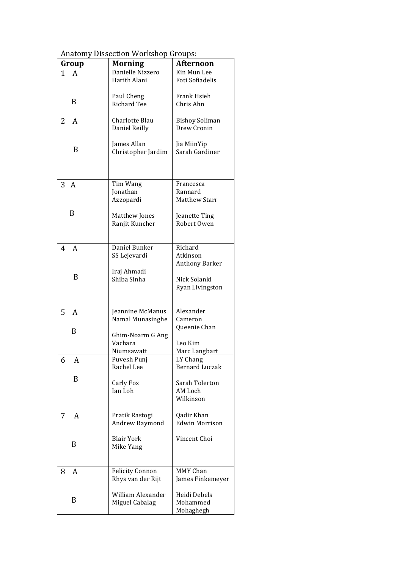| Group       | <b>Morning</b>         | <b>Afternoon</b>          |
|-------------|------------------------|---------------------------|
| $1 \quad A$ | Danielle Nizzero       | Kin Mun Lee               |
|             | Harith Alani           | Foti Sofiadelis           |
|             |                        |                           |
| B           | Paul Cheng             | Frank Hsieh               |
|             | <b>Richard Tee</b>     | Chris Ahn                 |
|             | Charlotte Blau         | <b>Bishoy Soliman</b>     |
| 2<br>A      | Daniel Reilly          | Drew Cronin               |
|             |                        |                           |
|             | James Allan            | Jia MiinYip               |
| B           | Christopher Jardim     | Sarah Gardiner            |
|             |                        |                           |
|             |                        |                           |
|             |                        |                           |
| 3A          | Tim Wang               | Francesca                 |
|             | Jonathan               | Rannard<br>Matthew Starr  |
|             | Azzopardi              |                           |
| B           | Matthew Jones          | Jeanette Ting             |
|             | Ranjit Kuncher         | Robert Owen               |
|             |                        |                           |
|             |                        |                           |
| 4<br>A      | Daniel Bunker          | Richard                   |
|             | SS Lejevardi           | Atkinson                  |
|             |                        | <b>Anthony Barker</b>     |
| B           | Iraj Ahmadi            |                           |
|             | Shiba Sinha            | Nick Solanki              |
|             |                        | Ryan Livingston           |
|             |                        |                           |
| 5<br>A      | Jeannine McManus       | Alexander                 |
|             | Namal Munasinghe       | Cameron                   |
|             |                        | Queenie Chan              |
| B           | Ghim-Noarm G Ang       |                           |
|             | Vachara                | Leo Kim                   |
|             | Niumsawatt             | Marc Langbart             |
| 6 A         | Puvesh Punj            | LY Chang                  |
|             | Rachel Lee             | <b>Bernard Luczak</b>     |
| B           |                        |                           |
|             | Carly Fox<br>Ian Loh   | Sarah Tolerton<br>AM Loch |
|             |                        | Wilkinson                 |
|             |                        |                           |
| 7<br>A      | Pratik Rastogi         | Qadir Khan                |
|             | Andrew Raymond         | <b>Edwin Morrison</b>     |
|             |                        |                           |
| B           | <b>Blair York</b>      | Vincent Choi              |
|             | Mike Yang              |                           |
|             |                        |                           |
|             | <b>Felicity Connon</b> | MMY Chan                  |
| 8<br>A      | Rhys van der Rijt      | James Finkemeyer          |
|             |                        |                           |
|             | William Alexander      | Heidi Debels              |
| B           | Miguel Cabalag         | Mohammed                  |
|             |                        | Mohaghegh                 |